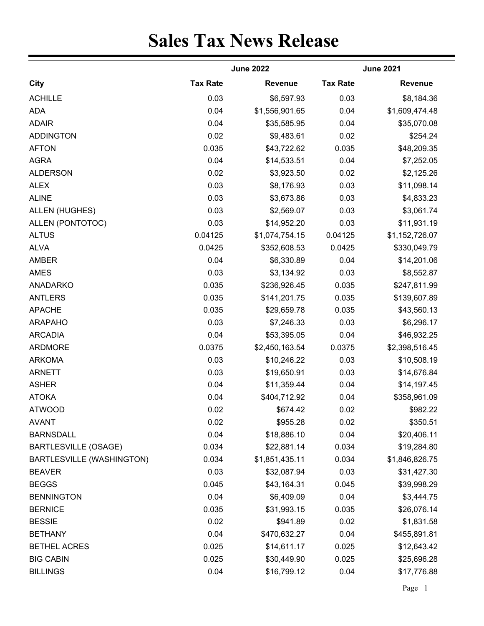## **Sales Tax News Release**

|                                  |                 | <b>June 2022</b> |                 | <b>June 2021</b> |  |  |
|----------------------------------|-----------------|------------------|-----------------|------------------|--|--|
| City                             | <b>Tax Rate</b> | <b>Revenue</b>   | <b>Tax Rate</b> | <b>Revenue</b>   |  |  |
| <b>ACHILLE</b>                   | 0.03            | \$6,597.93       | 0.03            | \$8,184.36       |  |  |
| <b>ADA</b>                       | 0.04            | \$1,556,901.65   | 0.04            | \$1,609,474.48   |  |  |
| <b>ADAIR</b>                     | 0.04            | \$35,585.95      | 0.04            | \$35,070.08      |  |  |
| <b>ADDINGTON</b>                 | 0.02            | \$9,483.61       | 0.02            | \$254.24         |  |  |
| <b>AFTON</b>                     | 0.035           | \$43,722.62      | 0.035           | \$48,209.35      |  |  |
| <b>AGRA</b>                      | 0.04            | \$14,533.51      | 0.04            | \$7,252.05       |  |  |
| <b>ALDERSON</b>                  | 0.02            | \$3,923.50       | 0.02            | \$2,125.26       |  |  |
| <b>ALEX</b>                      | 0.03            | \$8,176.93       | 0.03            | \$11,098.14      |  |  |
| <b>ALINE</b>                     | 0.03            | \$3,673.86       | 0.03            | \$4,833.23       |  |  |
| <b>ALLEN (HUGHES)</b>            | 0.03            | \$2,569.07       | 0.03            | \$3,061.74       |  |  |
| ALLEN (PONTOTOC)                 | 0.03            | \$14,952.20      | 0.03            | \$11,931.19      |  |  |
| <b>ALTUS</b>                     | 0.04125         | \$1,074,754.15   | 0.04125         | \$1,152,726.07   |  |  |
| <b>ALVA</b>                      | 0.0425          | \$352,608.53     | 0.0425          | \$330,049.79     |  |  |
| AMBER                            | 0.04            | \$6,330.89       | 0.04            | \$14,201.06      |  |  |
| <b>AMES</b>                      | 0.03            | \$3,134.92       | 0.03            | \$8,552.87       |  |  |
| <b>ANADARKO</b>                  | 0.035           | \$236,926.45     | 0.035           | \$247,811.99     |  |  |
| <b>ANTLERS</b>                   | 0.035           | \$141,201.75     | 0.035           | \$139,607.89     |  |  |
| <b>APACHE</b>                    | 0.035           | \$29,659.78      | 0.035           | \$43,560.13      |  |  |
| <b>ARAPAHO</b>                   | 0.03            | \$7,246.33       | 0.03            | \$6,296.17       |  |  |
| <b>ARCADIA</b>                   | 0.04            | \$53,395.05      | 0.04            | \$46,932.25      |  |  |
| <b>ARDMORE</b>                   | 0.0375          | \$2,450,163.54   | 0.0375          | \$2,398,516.45   |  |  |
| <b>ARKOMA</b>                    | 0.03            | \$10,246.22      | 0.03            | \$10,508.19      |  |  |
| <b>ARNETT</b>                    | 0.03            | \$19,650.91      | 0.03            | \$14,676.84      |  |  |
| <b>ASHER</b>                     | 0.04            | \$11,359.44      | 0.04            | \$14,197.45      |  |  |
| <b>ATOKA</b>                     | 0.04            | \$404,712.92     | 0.04            | \$358,961.09     |  |  |
| <b>ATWOOD</b>                    | 0.02            | \$674.42         | 0.02            | \$982.22         |  |  |
| <b>AVANT</b>                     | 0.02            | \$955.28         | 0.02            | \$350.51         |  |  |
| <b>BARNSDALL</b>                 | 0.04            | \$18,886.10      | 0.04            | \$20,406.11      |  |  |
| <b>BARTLESVILLE (OSAGE)</b>      | 0.034           | \$22,881.14      | 0.034           | \$19,284.80      |  |  |
| <b>BARTLESVILLE (WASHINGTON)</b> | 0.034           | \$1,851,435.11   | 0.034           | \$1,846,826.75   |  |  |
| <b>BEAVER</b>                    | 0.03            | \$32,087.94      | 0.03            | \$31,427.30      |  |  |
| <b>BEGGS</b>                     | 0.045           | \$43,164.31      | 0.045           | \$39,998.29      |  |  |
| <b>BENNINGTON</b>                | 0.04            | \$6,409.09       | 0.04            | \$3,444.75       |  |  |
| <b>BERNICE</b>                   | 0.035           | \$31,993.15      | 0.035           | \$26,076.14      |  |  |
| <b>BESSIE</b>                    | 0.02            | \$941.89         | 0.02            | \$1,831.58       |  |  |
| <b>BETHANY</b>                   | 0.04            | \$470,632.27     | 0.04            | \$455,891.81     |  |  |
| <b>BETHEL ACRES</b>              | 0.025           | \$14,611.17      | 0.025           | \$12,643.42      |  |  |
| <b>BIG CABIN</b>                 | 0.025           | \$30,449.90      | 0.025           | \$25,696.28      |  |  |
| <b>BILLINGS</b>                  | 0.04            | \$16,799.12      | 0.04            | \$17,776.88      |  |  |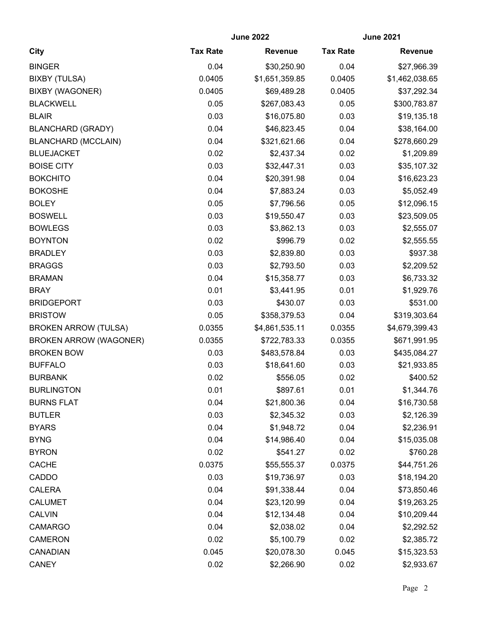|                               | <b>June 2022</b> |                | <b>June 2021</b> |                |
|-------------------------------|------------------|----------------|------------------|----------------|
| City                          | <b>Tax Rate</b>  | <b>Revenue</b> | <b>Tax Rate</b>  | <b>Revenue</b> |
| <b>BINGER</b>                 | 0.04             | \$30,250.90    | 0.04             | \$27,966.39    |
| <b>BIXBY (TULSA)</b>          | 0.0405           | \$1,651,359.85 | 0.0405           | \$1,462,038.65 |
| <b>BIXBY (WAGONER)</b>        | 0.0405           | \$69,489.28    | 0.0405           | \$37,292.34    |
| <b>BLACKWELL</b>              | 0.05             | \$267,083.43   | 0.05             | \$300,783.87   |
| <b>BLAIR</b>                  | 0.03             | \$16,075.80    | 0.03             | \$19,135.18    |
| <b>BLANCHARD (GRADY)</b>      | 0.04             | \$46,823.45    | 0.04             | \$38,164.00    |
| <b>BLANCHARD (MCCLAIN)</b>    | 0.04             | \$321,621.66   | 0.04             | \$278,660.29   |
| <b>BLUEJACKET</b>             | 0.02             | \$2,437.34     | 0.02             | \$1,209.89     |
| <b>BOISE CITY</b>             | 0.03             | \$32,447.31    | 0.03             | \$35,107.32    |
| <b>BOKCHITO</b>               | 0.04             | \$20,391.98    | 0.04             | \$16,623.23    |
| <b>BOKOSHE</b>                | 0.04             | \$7,883.24     | 0.03             | \$5,052.49     |
| <b>BOLEY</b>                  | 0.05             | \$7,796.56     | 0.05             | \$12,096.15    |
| <b>BOSWELL</b>                | 0.03             | \$19,550.47    | 0.03             | \$23,509.05    |
| <b>BOWLEGS</b>                | 0.03             | \$3,862.13     | 0.03             | \$2,555.07     |
| <b>BOYNTON</b>                | 0.02             | \$996.79       | 0.02             | \$2,555.55     |
| <b>BRADLEY</b>                | 0.03             | \$2,839.80     | 0.03             | \$937.38       |
| <b>BRAGGS</b>                 | 0.03             | \$2,793.50     | 0.03             | \$2,209.52     |
| <b>BRAMAN</b>                 | 0.04             | \$15,358.77    | 0.03             | \$6,733.32     |
| <b>BRAY</b>                   | 0.01             | \$3,441.95     | 0.01             | \$1,929.76     |
| <b>BRIDGEPORT</b>             | 0.03             | \$430.07       | 0.03             | \$531.00       |
| <b>BRISTOW</b>                | 0.05             | \$358,379.53   | 0.04             | \$319,303.64   |
| <b>BROKEN ARROW (TULSA)</b>   | 0.0355           | \$4,861,535.11 | 0.0355           | \$4,679,399.43 |
| <b>BROKEN ARROW (WAGONER)</b> | 0.0355           | \$722,783.33   | 0.0355           | \$671,991.95   |
| <b>BROKEN BOW</b>             | 0.03             | \$483,578.84   | 0.03             | \$435,084.27   |
| <b>BUFFALO</b>                | 0.03             | \$18,641.60    | 0.03             | \$21,933.85    |
| <b>BURBANK</b>                | 0.02             | \$556.05       | 0.02             | \$400.52       |
| <b>BURLINGTON</b>             | 0.01             | \$897.61       | 0.01             | \$1,344.76     |
| <b>BURNS FLAT</b>             | 0.04             | \$21,800.36    | 0.04             | \$16,730.58    |
| <b>BUTLER</b>                 | 0.03             | \$2,345.32     | 0.03             | \$2,126.39     |
| <b>BYARS</b>                  | 0.04             | \$1,948.72     | 0.04             | \$2,236.91     |
| <b>BYNG</b>                   | 0.04             | \$14,986.40    | 0.04             | \$15,035.08    |
| <b>BYRON</b>                  | 0.02             | \$541.27       | 0.02             | \$760.28       |
| <b>CACHE</b>                  | 0.0375           | \$55,555.37    | 0.0375           | \$44,751.26    |
| CADDO                         | 0.03             | \$19,736.97    | 0.03             | \$18,194.20    |
| <b>CALERA</b>                 | 0.04             | \$91,338.44    | 0.04             | \$73,850.46    |
| <b>CALUMET</b>                | 0.04             | \$23,120.99    | 0.04             | \$19,263.25    |
| <b>CALVIN</b>                 | 0.04             | \$12,134.48    | 0.04             | \$10,209.44    |
| <b>CAMARGO</b>                | 0.04             | \$2,038.02     | 0.04             | \$2,292.52     |
| <b>CAMERON</b>                | 0.02             | \$5,100.79     | 0.02             | \$2,385.72     |
| CANADIAN                      | 0.045            | \$20,078.30    | 0.045            | \$15,323.53    |
| <b>CANEY</b>                  | 0.02             | \$2,266.90     | 0.02             | \$2,933.67     |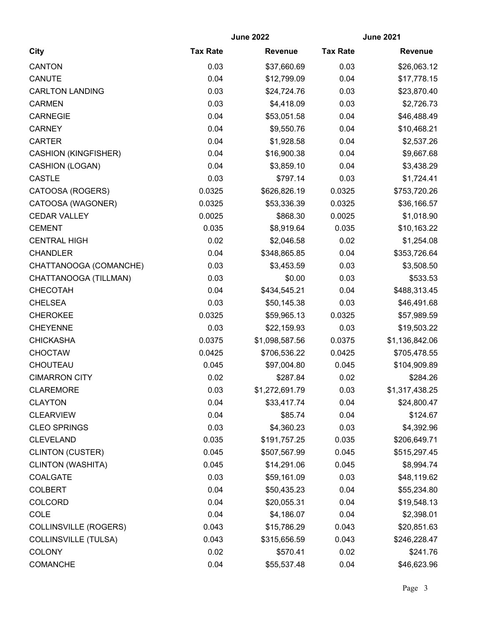|                              |                 | <b>June 2022</b> | <b>June 2021</b> |                |  |
|------------------------------|-----------------|------------------|------------------|----------------|--|
| <b>City</b>                  | <b>Tax Rate</b> | <b>Revenue</b>   | <b>Tax Rate</b>  | <b>Revenue</b> |  |
| <b>CANTON</b>                | 0.03            | \$37,660.69      | 0.03             | \$26,063.12    |  |
| CANUTE                       | 0.04            | \$12,799.09      | 0.04             | \$17,778.15    |  |
| <b>CARLTON LANDING</b>       | 0.03            | \$24,724.76      | 0.03             | \$23,870.40    |  |
| <b>CARMEN</b>                | 0.03            | \$4,418.09       | 0.03             | \$2,726.73     |  |
| <b>CARNEGIE</b>              | 0.04            | \$53,051.58      | 0.04             | \$46,488.49    |  |
| <b>CARNEY</b>                | 0.04            | \$9,550.76       | 0.04             | \$10,468.21    |  |
| <b>CARTER</b>                | 0.04            | \$1,928.58       | 0.04             | \$2,537.26     |  |
| <b>CASHION (KINGFISHER)</b>  | 0.04            | \$16,900.38      | 0.04             | \$9,667.68     |  |
| CASHION (LOGAN)              | 0.04            | \$3,859.10       | 0.04             | \$3,438.29     |  |
| <b>CASTLE</b>                | 0.03            | \$797.14         | 0.03             | \$1,724.41     |  |
| CATOOSA (ROGERS)             | 0.0325          | \$626,826.19     | 0.0325           | \$753,720.26   |  |
| CATOOSA (WAGONER)            | 0.0325          | \$53,336.39      | 0.0325           | \$36,166.57    |  |
| <b>CEDAR VALLEY</b>          | 0.0025          | \$868.30         | 0.0025           | \$1,018.90     |  |
| <b>CEMENT</b>                | 0.035           | \$8,919.64       | 0.035            | \$10,163.22    |  |
| <b>CENTRAL HIGH</b>          | 0.02            | \$2,046.58       | 0.02             | \$1,254.08     |  |
| <b>CHANDLER</b>              | 0.04            | \$348,865.85     | 0.04             | \$353,726.64   |  |
| CHATTANOOGA (COMANCHE)       | 0.03            | \$3,453.59       | 0.03             | \$3,508.50     |  |
| CHATTANOOGA (TILLMAN)        | 0.03            | \$0.00           | 0.03             | \$533.53       |  |
| CHECOTAH                     | 0.04            | \$434,545.21     | 0.04             | \$488,313.45   |  |
| <b>CHELSEA</b>               | 0.03            | \$50,145.38      | 0.03             | \$46,491.68    |  |
| <b>CHEROKEE</b>              | 0.0325          | \$59,965.13      | 0.0325           | \$57,989.59    |  |
| <b>CHEYENNE</b>              | 0.03            | \$22,159.93      | 0.03             | \$19,503.22    |  |
| <b>CHICKASHA</b>             | 0.0375          | \$1,098,587.56   | 0.0375           | \$1,136,842.06 |  |
| <b>CHOCTAW</b>               | 0.0425          | \$706,536.22     | 0.0425           | \$705,478.55   |  |
| CHOUTEAU                     | 0.045           | \$97,004.80      | 0.045            | \$104,909.89   |  |
| <b>CIMARRON CITY</b>         | 0.02            | \$287.84         | 0.02             | \$284.26       |  |
| <b>CLAREMORE</b>             | 0.03            | \$1,272,691.79   | 0.03             | \$1,317,438.25 |  |
| <b>CLAYTON</b>               | 0.04            | \$33,417.74      | 0.04             | \$24,800.47    |  |
| <b>CLEARVIEW</b>             | 0.04            | \$85.74          | 0.04             | \$124.67       |  |
| <b>CLEO SPRINGS</b>          | 0.03            | \$4,360.23       | 0.03             | \$4,392.96     |  |
| <b>CLEVELAND</b>             | 0.035           | \$191,757.25     | 0.035            | \$206,649.71   |  |
| <b>CLINTON (CUSTER)</b>      | 0.045           | \$507,567.99     | 0.045            | \$515,297.45   |  |
| <b>CLINTON (WASHITA)</b>     | 0.045           | \$14,291.06      | 0.045            | \$8,994.74     |  |
| COALGATE                     | 0.03            | \$59,161.09      | 0.03             | \$48,119.62    |  |
| <b>COLBERT</b>               | 0.04            | \$50,435.23      | 0.04             | \$55,234.80    |  |
| <b>COLCORD</b>               | 0.04            | \$20,055.31      | 0.04             | \$19,548.13    |  |
| COLE                         | 0.04            | \$4,186.07       | 0.04             | \$2,398.01     |  |
| <b>COLLINSVILLE (ROGERS)</b> | 0.043           | \$15,786.29      | 0.043            | \$20,851.63    |  |
| <b>COLLINSVILLE (TULSA)</b>  | 0.043           | \$315,656.59     | 0.043            | \$246,228.47   |  |
| <b>COLONY</b>                | 0.02            | \$570.41         | 0.02             | \$241.76       |  |
| <b>COMANCHE</b>              | 0.04            | \$55,537.48      | 0.04             | \$46,623.96    |  |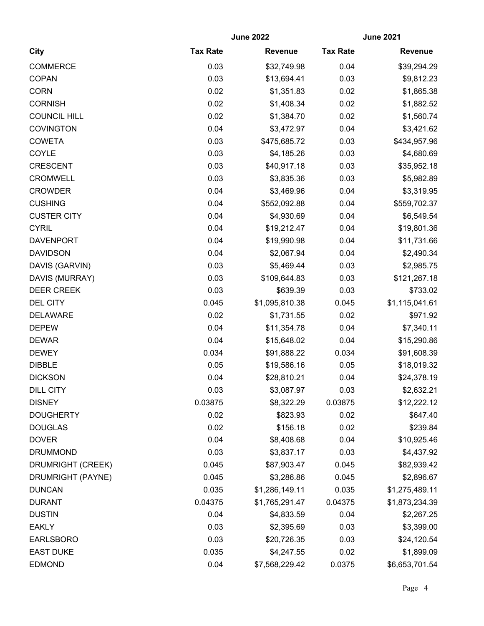|                     |                 | <b>June 2022</b> | <b>June 2021</b> |                |
|---------------------|-----------------|------------------|------------------|----------------|
| City                | <b>Tax Rate</b> | <b>Revenue</b>   | <b>Tax Rate</b>  | <b>Revenue</b> |
| <b>COMMERCE</b>     | 0.03            | \$32,749.98      | 0.04             | \$39,294.29    |
| <b>COPAN</b>        | 0.03            | \$13,694.41      | 0.03             | \$9,812.23     |
| <b>CORN</b>         | 0.02            | \$1,351.83       | 0.02             | \$1,865.38     |
| <b>CORNISH</b>      | 0.02            | \$1,408.34       | 0.02             | \$1,882.52     |
| <b>COUNCIL HILL</b> | 0.02            | \$1,384.70       | 0.02             | \$1,560.74     |
| <b>COVINGTON</b>    | 0.04            | \$3,472.97       | 0.04             | \$3,421.62     |
| <b>COWETA</b>       | 0.03            | \$475,685.72     | 0.03             | \$434,957.96   |
| COYLE               | 0.03            | \$4,185.26       | 0.03             | \$4,680.69     |
| <b>CRESCENT</b>     | 0.03            | \$40,917.18      | 0.03             | \$35,952.18    |
| <b>CROMWELL</b>     | 0.03            | \$3,835.36       | 0.03             | \$5,982.89     |
| <b>CROWDER</b>      | 0.04            | \$3,469.96       | 0.04             | \$3,319.95     |
| <b>CUSHING</b>      | 0.04            | \$552,092.88     | 0.04             | \$559,702.37   |
| <b>CUSTER CITY</b>  | 0.04            | \$4,930.69       | 0.04             | \$6,549.54     |
| <b>CYRIL</b>        | 0.04            | \$19,212.47      | 0.04             | \$19,801.36    |
| <b>DAVENPORT</b>    | 0.04            | \$19,990.98      | 0.04             | \$11,731.66    |
| <b>DAVIDSON</b>     | 0.04            | \$2,067.94       | 0.04             | \$2,490.34     |
| DAVIS (GARVIN)      | 0.03            | \$5,469.44       | 0.03             | \$2,985.75     |
| DAVIS (MURRAY)      | 0.03            | \$109,644.83     | 0.03             | \$121,267.18   |
| <b>DEER CREEK</b>   | 0.03            | \$639.39         | 0.03             | \$733.02       |
| <b>DEL CITY</b>     | 0.045           | \$1,095,810.38   | 0.045            | \$1,115,041.61 |
| <b>DELAWARE</b>     | 0.02            | \$1,731.55       | 0.02             | \$971.92       |
| <b>DEPEW</b>        | 0.04            | \$11,354.78      | 0.04             | \$7,340.11     |
| <b>DEWAR</b>        | 0.04            | \$15,648.02      | 0.04             | \$15,290.86    |
| <b>DEWEY</b>        | 0.034           | \$91,888.22      | 0.034            | \$91,608.39    |
| <b>DIBBLE</b>       | 0.05            | \$19,586.16      | 0.05             | \$18,019.32    |
| <b>DICKSON</b>      | 0.04            | \$28,810.21      | 0.04             | \$24,378.19    |
| <b>DILL CITY</b>    | 0.03            | \$3,087.97       | 0.03             | \$2,632.21     |
| <b>DISNEY</b>       | 0.03875         | \$8,322.29       | 0.03875          | \$12,222.12    |
| <b>DOUGHERTY</b>    | 0.02            | \$823.93         | 0.02             | \$647.40       |
| <b>DOUGLAS</b>      | 0.02            | \$156.18         | 0.02             | \$239.84       |
| <b>DOVER</b>        | 0.04            | \$8,408.68       | 0.04             | \$10,925.46    |
| <b>DRUMMOND</b>     | 0.03            | \$3,837.17       | 0.03             | \$4,437.92     |
| DRUMRIGHT (CREEK)   | 0.045           | \$87,903.47      | 0.045            | \$82,939.42    |
| DRUMRIGHT (PAYNE)   | 0.045           | \$3,286.86       | 0.045            | \$2,896.67     |
| <b>DUNCAN</b>       | 0.035           | \$1,286,149.11   | 0.035            | \$1,275,489.11 |
| <b>DURANT</b>       | 0.04375         | \$1,765,291.47   | 0.04375          | \$1,873,234.39 |
| <b>DUSTIN</b>       | 0.04            | \$4,833.59       | 0.04             | \$2,267.25     |
| <b>EAKLY</b>        | 0.03            | \$2,395.69       | 0.03             | \$3,399.00     |
| <b>EARLSBORO</b>    | 0.03            | \$20,726.35      | 0.03             | \$24,120.54    |
| <b>EAST DUKE</b>    | 0.035           | \$4,247.55       | 0.02             | \$1,899.09     |
| <b>EDMOND</b>       | 0.04            | \$7,568,229.42   | 0.0375           | \$6,653,701.54 |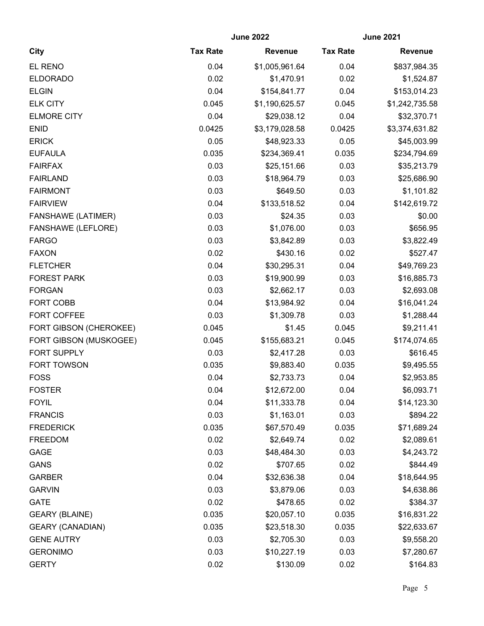|                           | <b>June 2022</b> |                | <b>June 2021</b> |                |
|---------------------------|------------------|----------------|------------------|----------------|
| <b>City</b>               | <b>Tax Rate</b>  | <b>Revenue</b> | <b>Tax Rate</b>  | <b>Revenue</b> |
| EL RENO                   | 0.04             | \$1,005,961.64 | 0.04             | \$837,984.35   |
| <b>ELDORADO</b>           | 0.02             | \$1,470.91     | 0.02             | \$1,524.87     |
| <b>ELGIN</b>              | 0.04             | \$154,841.77   | 0.04             | \$153,014.23   |
| <b>ELK CITY</b>           | 0.045            | \$1,190,625.57 | 0.045            | \$1,242,735.58 |
| <b>ELMORE CITY</b>        | 0.04             | \$29,038.12    | 0.04             | \$32,370.71    |
| <b>ENID</b>               | 0.0425           | \$3,179,028.58 | 0.0425           | \$3,374,631.82 |
| <b>ERICK</b>              | 0.05             | \$48,923.33    | 0.05             | \$45,003.99    |
| <b>EUFAULA</b>            | 0.035            | \$234,369.41   | 0.035            | \$234,794.69   |
| <b>FAIRFAX</b>            | 0.03             | \$25,151.66    | 0.03             | \$35,213.79    |
| <b>FAIRLAND</b>           | 0.03             | \$18,964.79    | 0.03             | \$25,686.90    |
| <b>FAIRMONT</b>           | 0.03             | \$649.50       | 0.03             | \$1,101.82     |
| <b>FAIRVIEW</b>           | 0.04             | \$133,518.52   | 0.04             | \$142,619.72   |
| <b>FANSHAWE (LATIMER)</b> | 0.03             | \$24.35        | 0.03             | \$0.00         |
| <b>FANSHAWE (LEFLORE)</b> | 0.03             | \$1,076.00     | 0.03             | \$656.95       |
| <b>FARGO</b>              | 0.03             | \$3,842.89     | 0.03             | \$3,822.49     |
| <b>FAXON</b>              | 0.02             | \$430.16       | 0.02             | \$527.47       |
| <b>FLETCHER</b>           | 0.04             | \$30,295.31    | 0.04             | \$49,769.23    |
| <b>FOREST PARK</b>        | 0.03             | \$19,900.99    | 0.03             | \$16,885.73    |
| <b>FORGAN</b>             | 0.03             | \$2,662.17     | 0.03             | \$2,693.08     |
| <b>FORT COBB</b>          | 0.04             | \$13,984.92    | 0.04             | \$16,041.24    |
| FORT COFFEE               | 0.03             | \$1,309.78     | 0.03             | \$1,288.44     |
| FORT GIBSON (CHEROKEE)    | 0.045            | \$1.45         | 0.045            | \$9,211.41     |
| FORT GIBSON (MUSKOGEE)    | 0.045            | \$155,683.21   | 0.045            | \$174,074.65   |
| FORT SUPPLY               | 0.03             | \$2,417.28     | 0.03             | \$616.45       |
| FORT TOWSON               | 0.035            | \$9,883.40     | 0.035            | \$9,495.55     |
| <b>FOSS</b>               | 0.04             | \$2,733.73     | 0.04             | \$2,953.85     |
| <b>FOSTER</b>             | 0.04             | \$12,672.00    | 0.04             | \$6,093.71     |
| <b>FOYIL</b>              | 0.04             | \$11,333.78    | 0.04             | \$14,123.30    |
| <b>FRANCIS</b>            | 0.03             | \$1,163.01     | 0.03             | \$894.22       |
| <b>FREDERICK</b>          | 0.035            | \$67,570.49    | 0.035            | \$71,689.24    |
| <b>FREEDOM</b>            | 0.02             | \$2,649.74     | 0.02             | \$2,089.61     |
| <b>GAGE</b>               | 0.03             | \$48,484.30    | 0.03             | \$4,243.72     |
| <b>GANS</b>               | 0.02             | \$707.65       | 0.02             | \$844.49       |
| <b>GARBER</b>             | 0.04             | \$32,636.38    | 0.04             | \$18,644.95    |
| <b>GARVIN</b>             | 0.03             | \$3,879.06     | 0.03             | \$4,638.86     |
| <b>GATE</b>               | 0.02             | \$478.65       | 0.02             | \$384.37       |
| <b>GEARY (BLAINE)</b>     | 0.035            | \$20,057.10    | 0.035            | \$16,831.22    |
| <b>GEARY (CANADIAN)</b>   | 0.035            | \$23,518.30    | 0.035            | \$22,633.67    |
| <b>GENE AUTRY</b>         | 0.03             | \$2,705.30     | 0.03             | \$9,558.20     |
| <b>GERONIMO</b>           | 0.03             | \$10,227.19    | 0.03             | \$7,280.67     |
| <b>GERTY</b>              | 0.02             | \$130.09       | 0.02             | \$164.83       |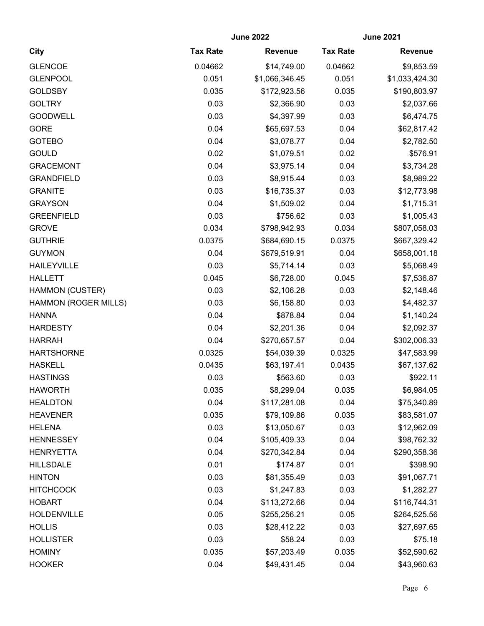| <b>City</b>          | <b>June 2022</b> |                | <b>June 2021</b> |                |
|----------------------|------------------|----------------|------------------|----------------|
|                      | <b>Tax Rate</b>  | <b>Revenue</b> | <b>Tax Rate</b>  | <b>Revenue</b> |
| <b>GLENCOE</b>       | 0.04662          | \$14,749.00    | 0.04662          | \$9,853.59     |
| <b>GLENPOOL</b>      | 0.051            | \$1,066,346.45 | 0.051            | \$1,033,424.30 |
| <b>GOLDSBY</b>       | 0.035            | \$172,923.56   | 0.035            | \$190,803.97   |
| <b>GOLTRY</b>        | 0.03             | \$2,366.90     | 0.03             | \$2,037.66     |
| <b>GOODWELL</b>      | 0.03             | \$4,397.99     | 0.03             | \$6,474.75     |
| <b>GORE</b>          | 0.04             | \$65,697.53    | 0.04             | \$62,817.42    |
| <b>GOTEBO</b>        | 0.04             | \$3,078.77     | 0.04             | \$2,782.50     |
| <b>GOULD</b>         | 0.02             | \$1,079.51     | 0.02             | \$576.91       |
| <b>GRACEMONT</b>     | 0.04             | \$3,975.14     | 0.04             | \$3,734.28     |
| <b>GRANDFIELD</b>    | 0.03             | \$8,915.44     | 0.03             | \$8,989.22     |
| <b>GRANITE</b>       | 0.03             | \$16,735.37    | 0.03             | \$12,773.98    |
| <b>GRAYSON</b>       | 0.04             | \$1,509.02     | 0.04             | \$1,715.31     |
| <b>GREENFIELD</b>    | 0.03             | \$756.62       | 0.03             | \$1,005.43     |
| <b>GROVE</b>         | 0.034            | \$798,942.93   | 0.034            | \$807,058.03   |
| <b>GUTHRIE</b>       | 0.0375           | \$684,690.15   | 0.0375           | \$667,329.42   |
| <b>GUYMON</b>        | 0.04             | \$679,519.91   | 0.04             | \$658,001.18   |
| <b>HAILEYVILLE</b>   | 0.03             | \$5,714.14     | 0.03             | \$5,068.49     |
| <b>HALLETT</b>       | 0.045            | \$6,728.00     | 0.045            | \$7,536.87     |
| HAMMON (CUSTER)      | 0.03             | \$2,106.28     | 0.03             | \$2,148.46     |
| HAMMON (ROGER MILLS) | 0.03             | \$6,158.80     | 0.03             | \$4,482.37     |
| <b>HANNA</b>         | 0.04             | \$878.84       | 0.04             | \$1,140.24     |
| <b>HARDESTY</b>      | 0.04             | \$2,201.36     | 0.04             | \$2,092.37     |
| <b>HARRAH</b>        | 0.04             | \$270,657.57   | 0.04             | \$302,006.33   |
| <b>HARTSHORNE</b>    | 0.0325           | \$54,039.39    | 0.0325           | \$47,583.99    |
| <b>HASKELL</b>       | 0.0435           | \$63,197.41    | 0.0435           | \$67,137.62    |
| <b>HASTINGS</b>      | 0.03             | \$563.60       | 0.03             | \$922.11       |
| <b>HAWORTH</b>       | 0.035            | \$8,299.04     | 0.035            | \$6,984.05     |
| <b>HEALDTON</b>      | 0.04             | \$117,281.08   | 0.04             | \$75,340.89    |
| <b>HEAVENER</b>      | 0.035            | \$79,109.86    | 0.035            | \$83,581.07    |
| <b>HELENA</b>        | 0.03             | \$13,050.67    | 0.03             | \$12,962.09    |
| <b>HENNESSEY</b>     | 0.04             | \$105,409.33   | 0.04             | \$98,762.32    |
| <b>HENRYETTA</b>     | 0.04             | \$270,342.84   | 0.04             | \$290,358.36   |
| <b>HILLSDALE</b>     | 0.01             | \$174.87       | 0.01             | \$398.90       |
| <b>HINTON</b>        | 0.03             | \$81,355.49    | 0.03             | \$91,067.71    |
| <b>HITCHCOCK</b>     | 0.03             | \$1,247.83     | 0.03             | \$1,282.27     |
| <b>HOBART</b>        | 0.04             | \$113,272.66   | 0.04             | \$116,744.31   |
| <b>HOLDENVILLE</b>   | 0.05             | \$255,256.21   | 0.05             | \$264,525.56   |
| <b>HOLLIS</b>        | 0.03             | \$28,412.22    | 0.03             | \$27,697.65    |
| <b>HOLLISTER</b>     | 0.03             | \$58.24        | 0.03             | \$75.18        |
| <b>HOMINY</b>        | 0.035            | \$57,203.49    | 0.035            | \$52,590.62    |
| <b>HOOKER</b>        | 0.04             | \$49,431.45    | 0.04             | \$43,960.63    |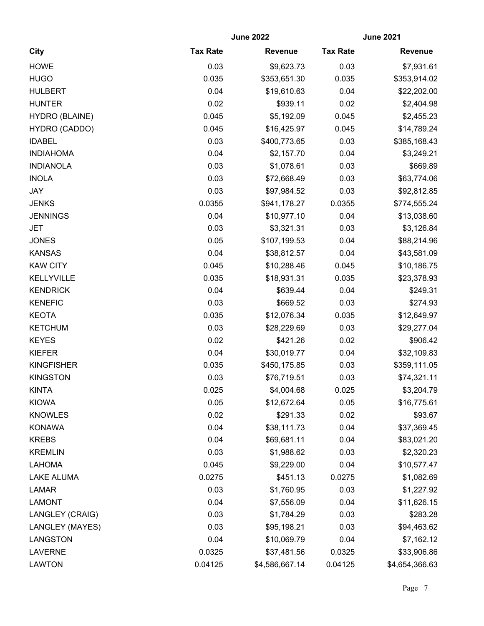|                       |                 | <b>June 2022</b> | <b>June 2021</b> |                |
|-----------------------|-----------------|------------------|------------------|----------------|
| <b>City</b>           | <b>Tax Rate</b> | <b>Revenue</b>   | <b>Tax Rate</b>  | <b>Revenue</b> |
| <b>HOWE</b>           | 0.03            | \$9,623.73       | 0.03             | \$7,931.61     |
| <b>HUGO</b>           | 0.035           | \$353,651.30     | 0.035            | \$353,914.02   |
| <b>HULBERT</b>        | 0.04            | \$19,610.63      | 0.04             | \$22,202.00    |
| <b>HUNTER</b>         | 0.02            | \$939.11         | 0.02             | \$2,404.98     |
| <b>HYDRO (BLAINE)</b> | 0.045           | \$5,192.09       | 0.045            | \$2,455.23     |
| HYDRO (CADDO)         | 0.045           | \$16,425.97      | 0.045            | \$14,789.24    |
| <b>IDABEL</b>         | 0.03            | \$400,773.65     | 0.03             | \$385,168.43   |
| <b>INDIAHOMA</b>      | 0.04            | \$2,157.70       | 0.04             | \$3,249.21     |
| <b>INDIANOLA</b>      | 0.03            | \$1,078.61       | 0.03             | \$669.89       |
| <b>INOLA</b>          | 0.03            | \$72,668.49      | 0.03             | \$63,774.06    |
| <b>JAY</b>            | 0.03            | \$97,984.52      | 0.03             | \$92,812.85    |
| <b>JENKS</b>          | 0.0355          | \$941,178.27     | 0.0355           | \$774,555.24   |
| <b>JENNINGS</b>       | 0.04            | \$10,977.10      | 0.04             | \$13,038.60    |
| <b>JET</b>            | 0.03            | \$3,321.31       | 0.03             | \$3,126.84     |
| <b>JONES</b>          | 0.05            | \$107,199.53     | 0.04             | \$88,214.96    |
| <b>KANSAS</b>         | 0.04            | \$38,812.57      | 0.04             | \$43,581.09    |
| <b>KAW CITY</b>       | 0.045           | \$10,288.46      | 0.045            | \$10,186.75    |
| KELLYVILLE            | 0.035           | \$18,931.31      | 0.035            | \$23,378.93    |
| <b>KENDRICK</b>       | 0.04            | \$639.44         | 0.04             | \$249.31       |
| <b>KENEFIC</b>        | 0.03            | \$669.52         | 0.03             | \$274.93       |
| <b>KEOTA</b>          | 0.035           | \$12,076.34      | 0.035            | \$12,649.97    |
| <b>KETCHUM</b>        | 0.03            | \$28,229.69      | 0.03             | \$29,277.04    |
| <b>KEYES</b>          | 0.02            | \$421.26         | 0.02             | \$906.42       |
| <b>KIEFER</b>         | 0.04            | \$30,019.77      | 0.04             | \$32,109.83    |
| <b>KINGFISHER</b>     | 0.035           | \$450,175.85     | 0.03             | \$359,111.05   |
| <b>KINGSTON</b>       | 0.03            | \$76,719.51      | 0.03             | \$74,321.11    |
| <b>KINTA</b>          | 0.025           | \$4,004.68       | 0.025            | \$3,204.79     |
| <b>KIOWA</b>          | 0.05            | \$12,672.64      | 0.05             | \$16,775.61    |
| <b>KNOWLES</b>        | 0.02            | \$291.33         | 0.02             | \$93.67        |
| <b>KONAWA</b>         | 0.04            | \$38,111.73      | 0.04             | \$37,369.45    |
| <b>KREBS</b>          | 0.04            | \$69,681.11      | 0.04             | \$83,021.20    |
| <b>KREMLIN</b>        | 0.03            | \$1,988.62       | 0.03             | \$2,320.23     |
| <b>LAHOMA</b>         | 0.045           | \$9,229.00       | 0.04             | \$10,577.47    |
| <b>LAKE ALUMA</b>     | 0.0275          | \$451.13         | 0.0275           | \$1,082.69     |
| <b>LAMAR</b>          | 0.03            | \$1,760.95       | 0.03             | \$1,227.92     |
| <b>LAMONT</b>         | 0.04            | \$7,556.09       | 0.04             | \$11,626.15    |
| LANGLEY (CRAIG)       | 0.03            | \$1,784.29       | 0.03             | \$283.28       |
| LANGLEY (MAYES)       | 0.03            | \$95,198.21      | 0.03             | \$94,463.62    |
| <b>LANGSTON</b>       | 0.04            | \$10,069.79      | 0.04             | \$7,162.12     |
| <b>LAVERNE</b>        | 0.0325          | \$37,481.56      | 0.0325           | \$33,906.86    |
| <b>LAWTON</b>         | 0.04125         | \$4,586,667.14   | 0.04125          | \$4,654,366.63 |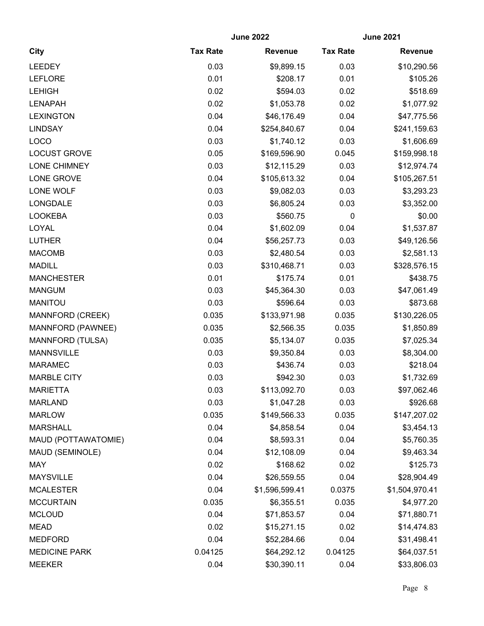|                         |                 | <b>June 2022</b> | <b>June 2021</b> |                |
|-------------------------|-----------------|------------------|------------------|----------------|
| <b>City</b>             | <b>Tax Rate</b> | <b>Revenue</b>   | <b>Tax Rate</b>  | <b>Revenue</b> |
| <b>LEEDEY</b>           | 0.03            | \$9,899.15       | 0.03             | \$10,290.56    |
| <b>LEFLORE</b>          | 0.01            | \$208.17         | 0.01             | \$105.26       |
| <b>LEHIGH</b>           | 0.02            | \$594.03         | 0.02             | \$518.69       |
| <b>LENAPAH</b>          | 0.02            | \$1,053.78       | 0.02             | \$1,077.92     |
| <b>LEXINGTON</b>        | 0.04            | \$46,176.49      | 0.04             | \$47,775.56    |
| <b>LINDSAY</b>          | 0.04            | \$254,840.67     | 0.04             | \$241,159.63   |
| LOCO                    | 0.03            | \$1,740.12       | 0.03             | \$1,606.69     |
| <b>LOCUST GROVE</b>     | 0.05            | \$169,596.90     | 0.045            | \$159,998.18   |
| <b>LONE CHIMNEY</b>     | 0.03            | \$12,115.29      | 0.03             | \$12,974.74    |
| LONE GROVE              | 0.04            | \$105,613.32     | 0.04             | \$105,267.51   |
| LONE WOLF               | 0.03            | \$9,082.03       | 0.03             | \$3,293.23     |
| <b>LONGDALE</b>         | 0.03            | \$6,805.24       | 0.03             | \$3,352.00     |
| <b>LOOKEBA</b>          | 0.03            | \$560.75         | $\mathbf 0$      | \$0.00         |
| LOYAL                   | 0.04            | \$1,602.09       | 0.04             | \$1,537.87     |
| <b>LUTHER</b>           | 0.04            | \$56,257.73      | 0.03             | \$49,126.56    |
| <b>MACOMB</b>           | 0.03            | \$2,480.54       | 0.03             | \$2,581.13     |
| <b>MADILL</b>           | 0.03            | \$310,468.71     | 0.03             | \$328,576.15   |
| <b>MANCHESTER</b>       | 0.01            | \$175.74         | 0.01             | \$438.75       |
| <b>MANGUM</b>           | 0.03            | \$45,364.30      | 0.03             | \$47,061.49    |
| <b>MANITOU</b>          | 0.03            | \$596.64         | 0.03             | \$873.68       |
| MANNFORD (CREEK)        | 0.035           | \$133,971.98     | 0.035            | \$130,226.05   |
| MANNFORD (PAWNEE)       | 0.035           | \$2,566.35       | 0.035            | \$1,850.89     |
| <b>MANNFORD (TULSA)</b> | 0.035           | \$5,134.07       | 0.035            | \$7,025.34     |
| <b>MANNSVILLE</b>       | 0.03            | \$9,350.84       | 0.03             | \$8,304.00     |
| <b>MARAMEC</b>          | 0.03            | \$436.74         | 0.03             | \$218.04       |
| <b>MARBLE CITY</b>      | 0.03            | \$942.30         | 0.03             | \$1,732.69     |
| <b>MARIETTA</b>         | 0.03            | \$113,092.70     | 0.03             | \$97,062.46    |
| <b>MARLAND</b>          | 0.03            | \$1,047.28       | 0.03             | \$926.68       |
| <b>MARLOW</b>           | 0.035           | \$149,566.33     | 0.035            | \$147,207.02   |
| <b>MARSHALL</b>         | 0.04            | \$4,858.54       | 0.04             | \$3,454.13     |
| MAUD (POTTAWATOMIE)     | 0.04            | \$8,593.31       | 0.04             | \$5,760.35     |
| MAUD (SEMINOLE)         | 0.04            | \$12,108.09      | 0.04             | \$9,463.34     |
| <b>MAY</b>              | 0.02            | \$168.62         | 0.02             | \$125.73       |
| <b>MAYSVILLE</b>        | 0.04            | \$26,559.55      | 0.04             | \$28,904.49    |
| <b>MCALESTER</b>        | 0.04            | \$1,596,599.41   | 0.0375           | \$1,504,970.41 |
| <b>MCCURTAIN</b>        | 0.035           | \$6,355.51       | 0.035            | \$4,977.20     |
| <b>MCLOUD</b>           | 0.04            | \$71,853.57      | 0.04             | \$71,880.71    |
| <b>MEAD</b>             | 0.02            | \$15,271.15      | 0.02             | \$14,474.83    |
| <b>MEDFORD</b>          | 0.04            | \$52,284.66      | 0.04             | \$31,498.41    |
| <b>MEDICINE PARK</b>    | 0.04125         | \$64,292.12      | 0.04125          | \$64,037.51    |
| <b>MEEKER</b>           | 0.04            | \$30,390.11      | 0.04             | \$33,806.03    |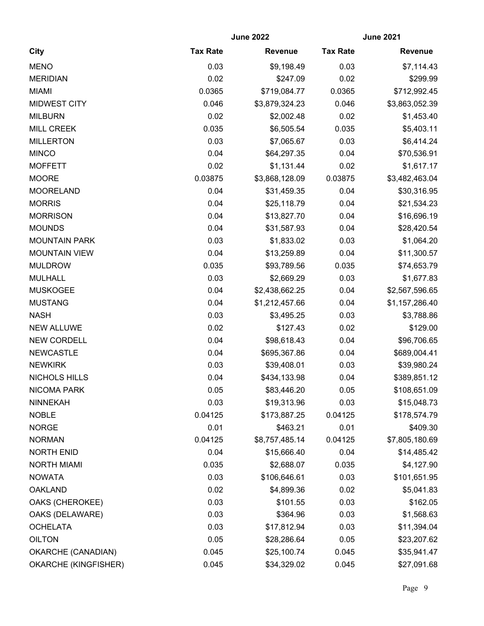|                             |                 | <b>June 2022</b> | <b>June 2021</b> |                |
|-----------------------------|-----------------|------------------|------------------|----------------|
| <b>City</b>                 | <b>Tax Rate</b> | <b>Revenue</b>   | <b>Tax Rate</b>  | <b>Revenue</b> |
| <b>MENO</b>                 | 0.03            | \$9,198.49       | 0.03             | \$7,114.43     |
| <b>MERIDIAN</b>             | 0.02            | \$247.09         | 0.02             | \$299.99       |
| <b>MIAMI</b>                | 0.0365          | \$719,084.77     | 0.0365           | \$712,992.45   |
| <b>MIDWEST CITY</b>         | 0.046           | \$3,879,324.23   | 0.046            | \$3,863,052.39 |
| <b>MILBURN</b>              | 0.02            | \$2,002.48       | 0.02             | \$1,453.40     |
| <b>MILL CREEK</b>           | 0.035           | \$6,505.54       | 0.035            | \$5,403.11     |
| <b>MILLERTON</b>            | 0.03            | \$7,065.67       | 0.03             | \$6,414.24     |
| <b>MINCO</b>                | 0.04            | \$64,297.35      | 0.04             | \$70,536.91    |
| <b>MOFFETT</b>              | 0.02            | \$1,131.44       | 0.02             | \$1,617.17     |
| <b>MOORE</b>                | 0.03875         | \$3,868,128.09   | 0.03875          | \$3,482,463.04 |
| <b>MOORELAND</b>            | 0.04            | \$31,459.35      | 0.04             | \$30,316.95    |
| <b>MORRIS</b>               | 0.04            | \$25,118.79      | 0.04             | \$21,534.23    |
| <b>MORRISON</b>             | 0.04            | \$13,827.70      | 0.04             | \$16,696.19    |
| <b>MOUNDS</b>               | 0.04            | \$31,587.93      | 0.04             | \$28,420.54    |
| <b>MOUNTAIN PARK</b>        | 0.03            | \$1,833.02       | 0.03             | \$1,064.20     |
| <b>MOUNTAIN VIEW</b>        | 0.04            | \$13,259.89      | 0.04             | \$11,300.57    |
| <b>MULDROW</b>              | 0.035           | \$93,789.56      | 0.035            | \$74,653.79    |
| <b>MULHALL</b>              | 0.03            | \$2,669.29       | 0.03             | \$1,677.83     |
| <b>MUSKOGEE</b>             | 0.04            | \$2,438,662.25   | 0.04             | \$2,567,596.65 |
| <b>MUSTANG</b>              | 0.04            | \$1,212,457.66   | 0.04             | \$1,157,286.40 |
| <b>NASH</b>                 | 0.03            | \$3,495.25       | 0.03             | \$3,788.86     |
| <b>NEW ALLUWE</b>           | 0.02            | \$127.43         | 0.02             | \$129.00       |
| <b>NEW CORDELL</b>          | 0.04            | \$98,618.43      | 0.04             | \$96,706.65    |
| <b>NEWCASTLE</b>            | 0.04            | \$695,367.86     | 0.04             | \$689,004.41   |
| <b>NEWKIRK</b>              | 0.03            | \$39,408.01      | 0.03             | \$39,980.24    |
| NICHOLS HILLS               | 0.04            | \$434,133.98     | 0.04             | \$389,851.12   |
| <b>NICOMA PARK</b>          | 0.05            | \$83,446.20      | 0.05             | \$108,651.09   |
| <b>NINNEKAH</b>             | 0.03            | \$19,313.96      | 0.03             | \$15,048.73    |
| <b>NOBLE</b>                | 0.04125         | \$173,887.25     | 0.04125          | \$178,574.79   |
| <b>NORGE</b>                | 0.01            | \$463.21         | 0.01             | \$409.30       |
| <b>NORMAN</b>               | 0.04125         | \$8,757,485.14   | 0.04125          | \$7,805,180.69 |
| <b>NORTH ENID</b>           | 0.04            | \$15,666.40      | 0.04             | \$14,485.42    |
| <b>NORTH MIAMI</b>          | 0.035           | \$2,688.07       | 0.035            | \$4,127.90     |
| <b>NOWATA</b>               | 0.03            | \$106,646.61     | 0.03             | \$101,651.95   |
| <b>OAKLAND</b>              | 0.02            | \$4,899.36       | 0.02             | \$5,041.83     |
| OAKS (CHEROKEE)             | 0.03            | \$101.55         | 0.03             | \$162.05       |
| OAKS (DELAWARE)             | 0.03            | \$364.96         | 0.03             | \$1,568.63     |
| <b>OCHELATA</b>             | 0.03            | \$17,812.94      | 0.03             | \$11,394.04    |
| <b>OILTON</b>               | 0.05            | \$28,286.64      | 0.05             | \$23,207.62    |
| OKARCHE (CANADIAN)          | 0.045           | \$25,100.74      | 0.045            | \$35,941.47    |
| <b>OKARCHE (KINGFISHER)</b> | 0.045           | \$34,329.02      | 0.045            | \$27,091.68    |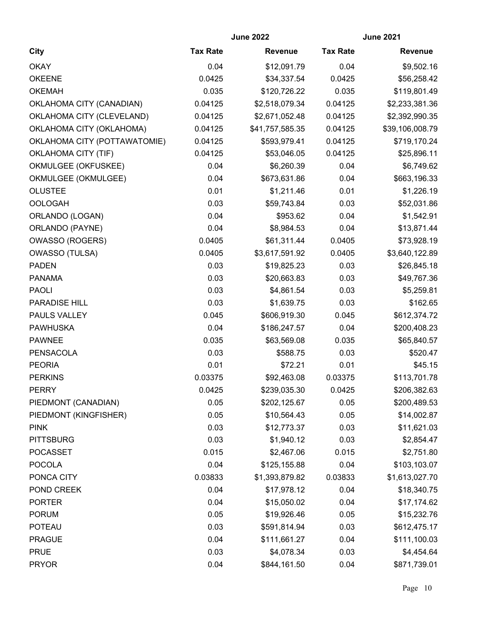|                              | <b>June 2022</b> |                 | <b>June 2021</b> |                 |
|------------------------------|------------------|-----------------|------------------|-----------------|
| <b>City</b>                  | <b>Tax Rate</b>  | <b>Revenue</b>  | <b>Tax Rate</b>  | Revenue         |
| <b>OKAY</b>                  | 0.04             | \$12,091.79     | 0.04             | \$9,502.16      |
| <b>OKEENE</b>                | 0.0425           | \$34,337.54     | 0.0425           | \$56,258.42     |
| <b>OKEMAH</b>                | 0.035            | \$120,726.22    | 0.035            | \$119,801.49    |
| OKLAHOMA CITY (CANADIAN)     | 0.04125          | \$2,518,079.34  | 0.04125          | \$2,233,381.36  |
| OKLAHOMA CITY (CLEVELAND)    | 0.04125          | \$2,671,052.48  | 0.04125          | \$2,392,990.35  |
| OKLAHOMA CITY (OKLAHOMA)     | 0.04125          | \$41,757,585.35 | 0.04125          | \$39,106,008.79 |
| OKLAHOMA CITY (POTTAWATOMIE) | 0.04125          | \$593,979.41    | 0.04125          | \$719,170.24    |
| OKLAHOMA CITY (TIF)          | 0.04125          | \$53,046.05     | 0.04125          | \$25,896.11     |
| OKMULGEE (OKFUSKEE)          | 0.04             | \$6,260.39      | 0.04             | \$6,749.62      |
| OKMULGEE (OKMULGEE)          | 0.04             | \$673,631.86    | 0.04             | \$663,196.33    |
| <b>OLUSTEE</b>               | 0.01             | \$1,211.46      | 0.01             | \$1,226.19      |
| <b>OOLOGAH</b>               | 0.03             | \$59,743.84     | 0.03             | \$52,031.86     |
| ORLANDO (LOGAN)              | 0.04             | \$953.62        | 0.04             | \$1,542.91      |
| ORLANDO (PAYNE)              | 0.04             | \$8,984.53      | 0.04             | \$13,871.44     |
| <b>OWASSO (ROGERS)</b>       | 0.0405           | \$61,311.44     | 0.0405           | \$73,928.19     |
| <b>OWASSO (TULSA)</b>        | 0.0405           | \$3,617,591.92  | 0.0405           | \$3,640,122.89  |
| <b>PADEN</b>                 | 0.03             | \$19,825.23     | 0.03             | \$26,845.18     |
| <b>PANAMA</b>                | 0.03             | \$20,663.83     | 0.03             | \$49,767.36     |
| <b>PAOLI</b>                 | 0.03             | \$4,861.54      | 0.03             | \$5,259.81      |
| PARADISE HILL                | 0.03             | \$1,639.75      | 0.03             | \$162.65        |
| PAULS VALLEY                 | 0.045            | \$606,919.30    | 0.045            | \$612,374.72    |
| <b>PAWHUSKA</b>              | 0.04             | \$186,247.57    | 0.04             | \$200,408.23    |
| <b>PAWNEE</b>                | 0.035            | \$63,569.08     | 0.035            | \$65,840.57     |
| PENSACOLA                    | 0.03             | \$588.75        | 0.03             | \$520.47        |
| <b>PEORIA</b>                | 0.01             | \$72.21         | 0.01             | \$45.15         |
| <b>PERKINS</b>               | 0.03375          | \$92,463.08     | 0.03375          | \$113,701.78    |
| <b>PERRY</b>                 | 0.0425           | \$239,035.30    | 0.0425           | \$206,382.63    |
| PIEDMONT (CANADIAN)          | 0.05             | \$202,125.67    | 0.05             | \$200,489.53    |
| PIEDMONT (KINGFISHER)        | 0.05             | \$10,564.43     | 0.05             | \$14,002.87     |
| <b>PINK</b>                  | 0.03             | \$12,773.37     | 0.03             | \$11,621.03     |
| <b>PITTSBURG</b>             | 0.03             | \$1,940.12      | 0.03             | \$2,854.47      |
| <b>POCASSET</b>              | 0.015            | \$2,467.06      | 0.015            | \$2,751.80      |
| <b>POCOLA</b>                | 0.04             | \$125,155.88    | 0.04             | \$103,103.07    |
| PONCA CITY                   | 0.03833          | \$1,393,879.82  | 0.03833          | \$1,613,027.70  |
| POND CREEK                   | 0.04             | \$17,978.12     | 0.04             | \$18,340.75     |
| <b>PORTER</b>                | 0.04             | \$15,050.02     | 0.04             | \$17,174.62     |
| <b>PORUM</b>                 | 0.05             | \$19,926.46     | 0.05             | \$15,232.76     |
| <b>POTEAU</b>                | 0.03             | \$591,814.94    | 0.03             | \$612,475.17    |
| <b>PRAGUE</b>                | 0.04             | \$111,661.27    | 0.04             | \$111,100.03    |
| <b>PRUE</b>                  | 0.03             | \$4,078.34      | 0.03             | \$4,454.64      |
| <b>PRYOR</b>                 | 0.04             | \$844,161.50    | 0.04             | \$871,739.01    |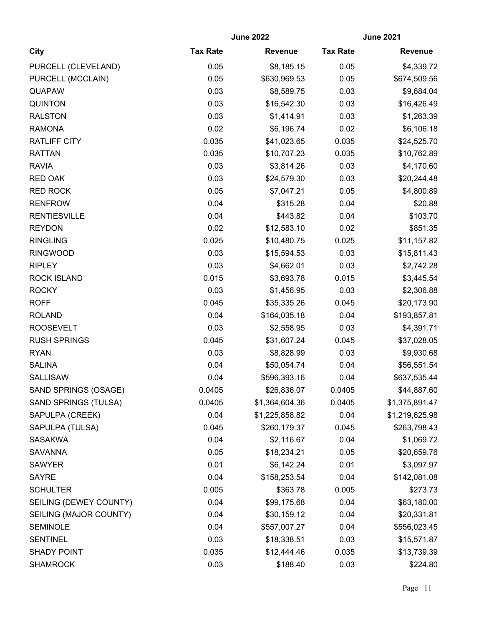|                             | <b>June 2022</b> |                | <b>June 2021</b> |                |
|-----------------------------|------------------|----------------|------------------|----------------|
| City                        | <b>Tax Rate</b>  | <b>Revenue</b> | <b>Tax Rate</b>  | <b>Revenue</b> |
| PURCELL (CLEVELAND)         | 0.05             | \$8,185.15     | 0.05             | \$4,339.72     |
| PURCELL (MCCLAIN)           | 0.05             | \$630,969.53   | 0.05             | \$674,509.56   |
| <b>QUAPAW</b>               | 0.03             | \$8,589.75     | 0.03             | \$9,684.04     |
| <b>QUINTON</b>              | 0.03             | \$16,542.30    | 0.03             | \$16,426.49    |
| <b>RALSTON</b>              | 0.03             | \$1,414.91     | 0.03             | \$1,263.39     |
| <b>RAMONA</b>               | 0.02             | \$6,196.74     | 0.02             | \$6,106.18     |
| <b>RATLIFF CITY</b>         | 0.035            | \$41,023.65    | 0.035            | \$24,525.70    |
| <b>RATTAN</b>               | 0.035            | \$10,707.23    | 0.035            | \$10,762.89    |
| <b>RAVIA</b>                | 0.03             | \$3,814.26     | 0.03             | \$4,170.60     |
| <b>RED OAK</b>              | 0.03             | \$24,579.30    | 0.03             | \$20,244.48    |
| <b>RED ROCK</b>             | 0.05             | \$7,047.21     | 0.05             | \$4,800.89     |
| <b>RENFROW</b>              | 0.04             | \$315.28       | 0.04             | \$20.88        |
| <b>RENTIESVILLE</b>         | 0.04             | \$443.82       | 0.04             | \$103.70       |
| <b>REYDON</b>               | 0.02             | \$12,583.10    | 0.02             | \$851.35       |
| <b>RINGLING</b>             | 0.025            | \$10,480.75    | 0.025            | \$11,157.82    |
| <b>RINGWOOD</b>             | 0.03             | \$15,594.53    | 0.03             | \$15,811.43    |
| <b>RIPLEY</b>               | 0.03             | \$4,662.01     | 0.03             | \$2,742.28     |
| <b>ROCK ISLAND</b>          | 0.015            | \$3,693.78     | 0.015            | \$3,445.54     |
| <b>ROCKY</b>                | 0.03             | \$1,456.95     | 0.03             | \$2,306.88     |
| <b>ROFF</b>                 | 0.045            | \$35,335.26    | 0.045            | \$20,173.90    |
| <b>ROLAND</b>               | 0.04             | \$164,035.18   | 0.04             | \$193,857.81   |
| <b>ROOSEVELT</b>            | 0.03             | \$2,558.95     | 0.03             | \$4,391.71     |
| <b>RUSH SPRINGS</b>         | 0.045            | \$31,607.24    | 0.045            | \$37,028.05    |
| <b>RYAN</b>                 | 0.03             | \$8,828.99     | 0.03             | \$9,930.68     |
| <b>SALINA</b>               | 0.04             | \$50,054.74    | 0.04             | \$56,551.54    |
| <b>SALLISAW</b>             | 0.04             | \$596,393.16   | 0.04             | \$637,535.44   |
| SAND SPRINGS (OSAGE)        | 0.0405           | \$26,836.07    | 0.0405           | \$44,887.60    |
| <b>SAND SPRINGS (TULSA)</b> | 0.0405           | \$1,364,604.36 | 0.0405           | \$1,375,891.47 |
| SAPULPA (CREEK)             | 0.04             | \$1,225,858.82 | 0.04             | \$1,219,625.98 |
| SAPULPA (TULSA)             | 0.045            | \$260,179.37   | 0.045            | \$263,798.43   |
| <b>SASAKWA</b>              | 0.04             | \$2,116.67     | 0.04             | \$1,069.72     |
| <b>SAVANNA</b>              | 0.05             | \$18,234.21    | 0.05             | \$20,659.76    |
| <b>SAWYER</b>               | 0.01             | \$6,142.24     | 0.01             | \$3,097.97     |
| <b>SAYRE</b>                | 0.04             | \$158,253.54   | 0.04             | \$142,081.08   |
| <b>SCHULTER</b>             | 0.005            | \$363.78       | 0.005            | \$273.73       |
| SEILING (DEWEY COUNTY)      | 0.04             | \$99,175.68    | 0.04             | \$63,180.00    |
| SEILING (MAJOR COUNTY)      | 0.04             | \$30,159.12    | 0.04             | \$20,331.81    |
| <b>SEMINOLE</b>             | 0.04             | \$557,007.27   | 0.04             | \$556,023.45   |
| <b>SENTINEL</b>             | 0.03             | \$18,338.51    | 0.03             | \$15,571.87    |
| <b>SHADY POINT</b>          | 0.035            | \$12,444.46    | 0.035            | \$13,739.39    |
| <b>SHAMROCK</b>             | 0.03             | \$188.40       | 0.03             | \$224.80       |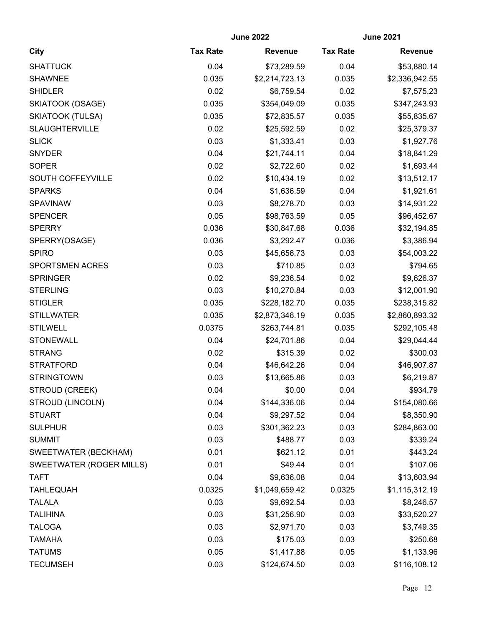|                                 | <b>June 2022</b> |                | <b>June 2021</b> |                |
|---------------------------------|------------------|----------------|------------------|----------------|
| <b>City</b>                     | <b>Tax Rate</b>  | <b>Revenue</b> | <b>Tax Rate</b>  | <b>Revenue</b> |
| <b>SHATTUCK</b>                 | 0.04             | \$73,289.59    | 0.04             | \$53,880.14    |
| <b>SHAWNEE</b>                  | 0.035            | \$2,214,723.13 | 0.035            | \$2,336,942.55 |
| <b>SHIDLER</b>                  | 0.02             | \$6,759.54     | 0.02             | \$7,575.23     |
| SKIATOOK (OSAGE)                | 0.035            | \$354,049.09   | 0.035            | \$347,243.93   |
| <b>SKIATOOK (TULSA)</b>         | 0.035            | \$72,835.57    | 0.035            | \$55,835.67    |
| <b>SLAUGHTERVILLE</b>           | 0.02             | \$25,592.59    | 0.02             | \$25,379.37    |
| <b>SLICK</b>                    | 0.03             | \$1,333.41     | 0.03             | \$1,927.76     |
| <b>SNYDER</b>                   | 0.04             | \$21,744.11    | 0.04             | \$18,841.29    |
| <b>SOPER</b>                    | 0.02             | \$2,722.60     | 0.02             | \$1,693.44     |
| SOUTH COFFEYVILLE               | 0.02             | \$10,434.19    | 0.02             | \$13,512.17    |
| <b>SPARKS</b>                   | 0.04             | \$1,636.59     | 0.04             | \$1,921.61     |
| SPAVINAW                        | 0.03             | \$8,278.70     | 0.03             | \$14,931.22    |
| <b>SPENCER</b>                  | 0.05             | \$98,763.59    | 0.05             | \$96,452.67    |
| <b>SPERRY</b>                   | 0.036            | \$30,847.68    | 0.036            | \$32,194.85    |
| SPERRY(OSAGE)                   | 0.036            | \$3,292.47     | 0.036            | \$3,386.94     |
| <b>SPIRO</b>                    | 0.03             | \$45,656.73    | 0.03             | \$54,003.22    |
| <b>SPORTSMEN ACRES</b>          | 0.03             | \$710.85       | 0.03             | \$794.65       |
| <b>SPRINGER</b>                 | 0.02             | \$9,236.54     | 0.02             | \$9,626.37     |
| <b>STERLING</b>                 | 0.03             | \$10,270.84    | 0.03             | \$12,001.90    |
| <b>STIGLER</b>                  | 0.035            | \$228,182.70   | 0.035            | \$238,315.82   |
| <b>STILLWATER</b>               | 0.035            | \$2,873,346.19 | 0.035            | \$2,860,893.32 |
| <b>STILWELL</b>                 | 0.0375           | \$263,744.81   | 0.035            | \$292,105.48   |
| <b>STONEWALL</b>                | 0.04             | \$24,701.86    | 0.04             | \$29,044.44    |
| <b>STRANG</b>                   | 0.02             | \$315.39       | 0.02             | \$300.03       |
| <b>STRATFORD</b>                | 0.04             | \$46,642.26    | 0.04             | \$46,907.87    |
| <b>STRINGTOWN</b>               | 0.03             | \$13,665.86    | 0.03             | \$6,219.87     |
| STROUD (CREEK)                  | 0.04             | \$0.00         | 0.04             | \$934.79       |
| STROUD (LINCOLN)                | 0.04             | \$144,336.06   | 0.04             | \$154,080.66   |
| <b>STUART</b>                   | 0.04             | \$9,297.52     | 0.04             | \$8,350.90     |
| <b>SULPHUR</b>                  | 0.03             | \$301,362.23   | 0.03             | \$284,863.00   |
| <b>SUMMIT</b>                   | 0.03             | \$488.77       | 0.03             | \$339.24       |
| SWEETWATER (BECKHAM)            | 0.01             | \$621.12       | 0.01             | \$443.24       |
| <b>SWEETWATER (ROGER MILLS)</b> | 0.01             | \$49.44        | 0.01             | \$107.06       |
| <b>TAFT</b>                     | 0.04             | \$9,636.08     | 0.04             | \$13,603.94    |
| <b>TAHLEQUAH</b>                | 0.0325           | \$1,049,659.42 | 0.0325           | \$1,115,312.19 |
| <b>TALALA</b>                   | 0.03             | \$9,692.54     | 0.03             | \$8,246.57     |
| <b>TALIHINA</b>                 | 0.03             | \$31,256.90    | 0.03             | \$33,520.27    |
| <b>TALOGA</b>                   | 0.03             | \$2,971.70     | 0.03             | \$3,749.35     |
| <b>TAMAHA</b>                   | 0.03             | \$175.03       | 0.03             | \$250.68       |
| <b>TATUMS</b>                   | 0.05             | \$1,417.88     | 0.05             | \$1,133.96     |
| <b>TECUMSEH</b>                 | 0.03             | \$124,674.50   | 0.03             | \$116,108.12   |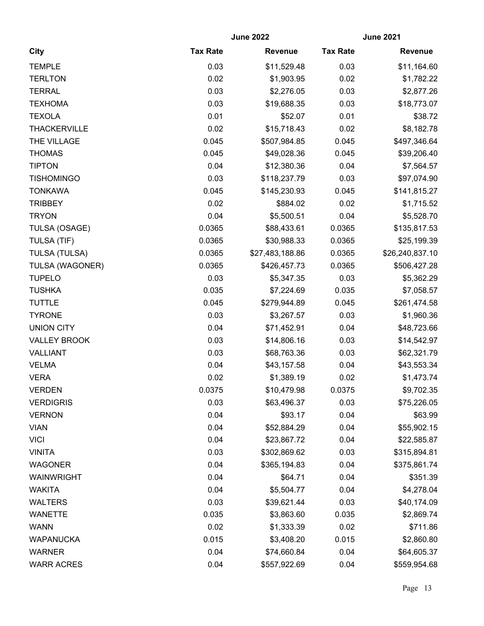| <b>City</b>          | <b>June 2022</b> |                 | <b>June 2021</b> |                 |
|----------------------|------------------|-----------------|------------------|-----------------|
|                      | <b>Tax Rate</b>  | <b>Revenue</b>  | <b>Tax Rate</b>  | <b>Revenue</b>  |
| <b>TEMPLE</b>        | 0.03             | \$11,529.48     | 0.03             | \$11,164.60     |
| <b>TERLTON</b>       | 0.02             | \$1,903.95      | 0.02             | \$1,782.22      |
| <b>TERRAL</b>        | 0.03             | \$2,276.05      | 0.03             | \$2,877.26      |
| <b>TEXHOMA</b>       | 0.03             | \$19,688.35     | 0.03             | \$18,773.07     |
| <b>TEXOLA</b>        | 0.01             | \$52.07         | 0.01             | \$38.72         |
| <b>THACKERVILLE</b>  | 0.02             | \$15,718.43     | 0.02             | \$8,182.78      |
| THE VILLAGE          | 0.045            | \$507,984.85    | 0.045            | \$497,346.64    |
| <b>THOMAS</b>        | 0.045            | \$49,028.36     | 0.045            | \$39,206.40     |
| <b>TIPTON</b>        | 0.04             | \$12,380.36     | 0.04             | \$7,564.57      |
| <b>TISHOMINGO</b>    | 0.03             | \$118,237.79    | 0.03             | \$97,074.90     |
| <b>TONKAWA</b>       | 0.045            | \$145,230.93    | 0.045            | \$141,815.27    |
| <b>TRIBBEY</b>       | 0.02             | \$884.02        | 0.02             | \$1,715.52      |
| <b>TRYON</b>         | 0.04             | \$5,500.51      | 0.04             | \$5,528.70      |
| TULSA (OSAGE)        | 0.0365           | \$88,433.61     | 0.0365           | \$135,817.53    |
| TULSA (TIF)          | 0.0365           | \$30,988.33     | 0.0365           | \$25,199.39     |
| <b>TULSA (TULSA)</b> | 0.0365           | \$27,483,188.86 | 0.0365           | \$26,240,837.10 |
| TULSA (WAGONER)      | 0.0365           | \$426,457.73    | 0.0365           | \$506,427.28    |
| <b>TUPELO</b>        | 0.03             | \$5,347.35      | 0.03             | \$5,362.29      |
| <b>TUSHKA</b>        | 0.035            | \$7,224.69      | 0.035            | \$7,058.57      |
| <b>TUTTLE</b>        | 0.045            | \$279,944.89    | 0.045            | \$261,474.58    |
| <b>TYRONE</b>        | 0.03             | \$3,267.57      | 0.03             | \$1,960.36      |
| <b>UNION CITY</b>    | 0.04             | \$71,452.91     | 0.04             | \$48,723.66     |
| <b>VALLEY BROOK</b>  | 0.03             | \$14,806.16     | 0.03             | \$14,542.97     |
| VALLIANT             | 0.03             | \$68,763.36     | 0.03             | \$62,321.79     |
| <b>VELMA</b>         | 0.04             | \$43,157.58     | 0.04             | \$43,553.34     |
| <b>VERA</b>          | 0.02             | \$1,389.19      | 0.02             | \$1,473.74      |
| <b>VERDEN</b>        | 0.0375           | \$10,479.98     | 0.0375           | \$9,702.35      |
| <b>VERDIGRIS</b>     | 0.03             | \$63,496.37     | 0.03             | \$75,226.05     |
| <b>VERNON</b>        | 0.04             | \$93.17         | 0.04             | \$63.99         |
| <b>VIAN</b>          | 0.04             | \$52,884.29     | 0.04             | \$55,902.15     |
| <b>VICI</b>          | 0.04             | \$23,867.72     | 0.04             | \$22,585.87     |
| <b>VINITA</b>        | 0.03             | \$302,869.62    | 0.03             | \$315,894.81    |
| <b>WAGONER</b>       | 0.04             | \$365,194.83    | 0.04             | \$375,861.74    |
| WAINWRIGHT           | 0.04             | \$64.71         | 0.04             | \$351.39        |
| <b>WAKITA</b>        | 0.04             | \$5,504.77      | 0.04             | \$4,278.04      |
| <b>WALTERS</b>       | 0.03             | \$39,621.44     | 0.03             | \$40,174.09     |
| <b>WANETTE</b>       | 0.035            | \$3,863.60      | 0.035            | \$2,869.74      |
| <b>WANN</b>          | 0.02             | \$1,333.39      | 0.02             | \$711.86        |
| <b>WAPANUCKA</b>     | 0.015            | \$3,408.20      | 0.015            | \$2,860.80      |
| <b>WARNER</b>        | 0.04             | \$74,660.84     | 0.04             | \$64,605.37     |
| <b>WARR ACRES</b>    | 0.04             | \$557,922.69    | 0.04             | \$559,954.68    |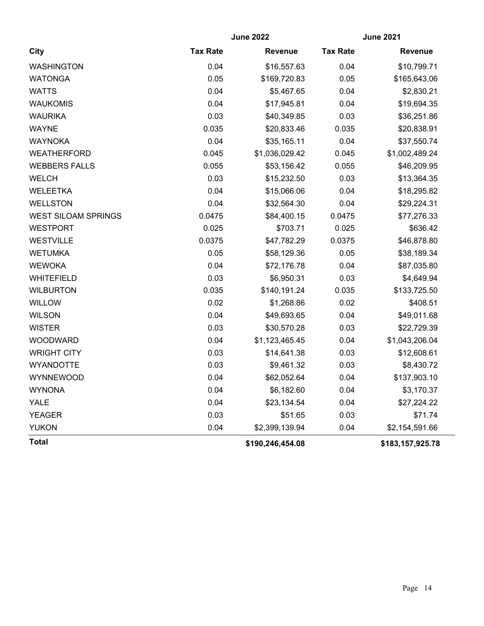|                            | <b>June 2022</b> |                  | <b>June 2021</b> |                  |
|----------------------------|------------------|------------------|------------------|------------------|
| City                       | <b>Tax Rate</b>  | <b>Revenue</b>   | <b>Tax Rate</b>  | <b>Revenue</b>   |
| <b>WASHINGTON</b>          | 0.04             | \$16,557.63      | 0.04             | \$10,799.71      |
| <b>WATONGA</b>             | 0.05             | \$169,720.83     | 0.05             | \$165,643.06     |
| <b>WATTS</b>               | 0.04             | \$5,467.65       | 0.04             | \$2,830.21       |
| <b>WAUKOMIS</b>            | 0.04             | \$17,945.81      | 0.04             | \$19,694.35      |
| <b>WAURIKA</b>             | 0.03             | \$40,349.85      | 0.03             | \$36,251.86      |
| <b>WAYNE</b>               | 0.035            | \$20,833.46      | 0.035            | \$20,838.91      |
| <b>WAYNOKA</b>             | 0.04             | \$35,165.11      | 0.04             | \$37,550.74      |
| <b>WEATHERFORD</b>         | 0.045            | \$1,036,029.42   | 0.045            | \$1,002,489.24   |
| <b>WEBBERS FALLS</b>       | 0.055            | \$53,156.42      | 0.055            | \$46,209.95      |
| <b>WELCH</b>               | 0.03             | \$15,232.50      | 0.03             | \$13,364.35      |
| <b>WELEETKA</b>            | 0.04             | \$15,066.06      | 0.04             | \$18,295.82      |
| <b>WELLSTON</b>            | 0.04             | \$32,564.30      | 0.04             | \$29,224.31      |
| <b>WEST SILOAM SPRINGS</b> | 0.0475           | \$84,400.15      | 0.0475           | \$77,276.33      |
| <b>WESTPORT</b>            | 0.025            | \$703.71         | 0.025            | \$636.42         |
| <b>WESTVILLE</b>           | 0.0375           | \$47,782.29      | 0.0375           | \$46,878.80      |
| <b>WETUMKA</b>             | 0.05             | \$58,129.36      | 0.05             | \$38,189.34      |
| <b>WEWOKA</b>              | 0.04             | \$72,176.78      | 0.04             | \$87,035.80      |
| <b>WHITEFIELD</b>          | 0.03             | \$6,950.31       | 0.03             | \$4,649.94       |
| <b>WILBURTON</b>           | 0.035            | \$140,191.24     | 0.035            | \$133,725.50     |
| <b>WILLOW</b>              | 0.02             | \$1,268.86       | 0.02             | \$408.51         |
| <b>WILSON</b>              | 0.04             | \$49,693.65      | 0.04             | \$49,011.68      |
| <b>WISTER</b>              | 0.03             | \$30,570.28      | 0.03             | \$22,729.39      |
| <b>WOODWARD</b>            | 0.04             | \$1,123,465.45   | 0.04             | \$1,043,206.04   |
| <b>WRIGHT CITY</b>         | 0.03             | \$14,641.38      | 0.03             | \$12,608.61      |
| <b>WYANDOTTE</b>           | 0.03             | \$9,461.32       | 0.03             | \$8,430.72       |
| <b>WYNNEWOOD</b>           | 0.04             | \$62,052.64      | 0.04             | \$137,903.10     |
| <b>WYNONA</b>              | 0.04             | \$6,182.60       | 0.04             | \$3,170.37       |
| YALE                       | 0.04             | \$23,134.54      | 0.04             | \$27,224.22      |
| <b>YEAGER</b>              | 0.03             | \$51.65          | 0.03             | \$71.74          |
| <b>YUKON</b>               | 0.04             | \$2,399,139.94   | 0.04             | \$2,154,591.66   |
| <b>Total</b>               |                  | \$190,246,454.08 |                  | \$183,157,925.78 |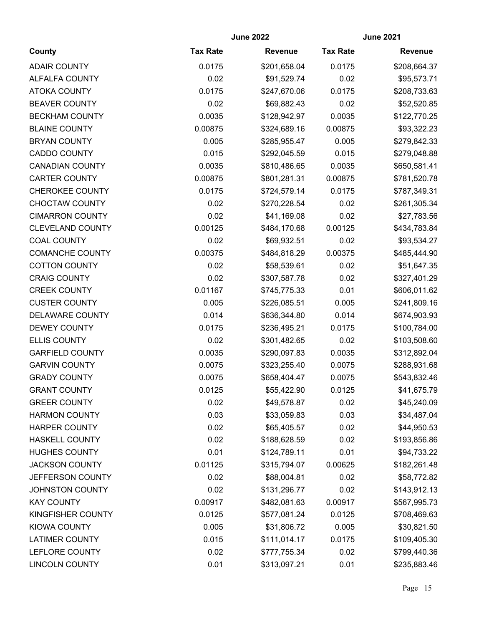|                         | <b>June 2022</b> |                | <b>June 2021</b> |                |
|-------------------------|------------------|----------------|------------------|----------------|
| County                  | <b>Tax Rate</b>  | <b>Revenue</b> | <b>Tax Rate</b>  | <b>Revenue</b> |
| <b>ADAIR COUNTY</b>     | 0.0175           | \$201,658.04   | 0.0175           | \$208,664.37   |
| ALFALFA COUNTY          | 0.02             | \$91,529.74    | 0.02             | \$95,573.71    |
| <b>ATOKA COUNTY</b>     | 0.0175           | \$247,670.06   | 0.0175           | \$208,733.63   |
| <b>BEAVER COUNTY</b>    | 0.02             | \$69,882.43    | 0.02             | \$52,520.85    |
| <b>BECKHAM COUNTY</b>   | 0.0035           | \$128,942.97   | 0.0035           | \$122,770.25   |
| <b>BLAINE COUNTY</b>    | 0.00875          | \$324,689.16   | 0.00875          | \$93,322.23    |
| <b>BRYAN COUNTY</b>     | 0.005            | \$285,955.47   | 0.005            | \$279,842.33   |
| <b>CADDO COUNTY</b>     | 0.015            | \$292,045.59   | 0.015            | \$279,048.88   |
| <b>CANADIAN COUNTY</b>  | 0.0035           | \$810,486.65   | 0.0035           | \$650,581.41   |
| <b>CARTER COUNTY</b>    | 0.00875          | \$801,281.31   | 0.00875          | \$781,520.78   |
| <b>CHEROKEE COUNTY</b>  | 0.0175           | \$724,579.14   | 0.0175           | \$787,349.31   |
| <b>CHOCTAW COUNTY</b>   | 0.02             | \$270,228.54   | 0.02             | \$261,305.34   |
| <b>CIMARRON COUNTY</b>  | 0.02             | \$41,169.08    | 0.02             | \$27,783.56    |
| <b>CLEVELAND COUNTY</b> | 0.00125          | \$484,170.68   | 0.00125          | \$434,783.84   |
| <b>COAL COUNTY</b>      | 0.02             | \$69,932.51    | 0.02             | \$93,534.27    |
| <b>COMANCHE COUNTY</b>  | 0.00375          | \$484,818.29   | 0.00375          | \$485,444.90   |
| <b>COTTON COUNTY</b>    | 0.02             | \$58,539.61    | 0.02             | \$51,647.35    |
| <b>CRAIG COUNTY</b>     | 0.02             | \$307,587.78   | 0.02             | \$327,401.29   |
| <b>CREEK COUNTY</b>     | 0.01167          | \$745,775.33   | 0.01             | \$606,011.62   |
| <b>CUSTER COUNTY</b>    | 0.005            | \$226,085.51   | 0.005            | \$241,809.16   |
| <b>DELAWARE COUNTY</b>  | 0.014            | \$636,344.80   | 0.014            | \$674,903.93   |
| DEWEY COUNTY            | 0.0175           | \$236,495.21   | 0.0175           | \$100,784.00   |
| <b>ELLIS COUNTY</b>     | 0.02             | \$301,482.65   | 0.02             | \$103,508.60   |
| <b>GARFIELD COUNTY</b>  | 0.0035           | \$290,097.83   | 0.0035           | \$312,892.04   |
| <b>GARVIN COUNTY</b>    | 0.0075           | \$323,255.40   | 0.0075           | \$288,931.68   |
| <b>GRADY COUNTY</b>     | 0.0075           | \$658,404.47   | 0.0075           | \$543,832.46   |
| <b>GRANT COUNTY</b>     | 0.0125           | \$55,422.90    | 0.0125           | \$41,675.79    |
| <b>GREER COUNTY</b>     | 0.02             | \$49,578.87    | 0.02             | \$45,240.09    |
| <b>HARMON COUNTY</b>    | 0.03             | \$33,059.83    | 0.03             | \$34,487.04    |
| <b>HARPER COUNTY</b>    | 0.02             | \$65,405.57    | 0.02             | \$44,950.53    |
| <b>HASKELL COUNTY</b>   | 0.02             | \$188,628.59   | 0.02             | \$193,856.86   |
| <b>HUGHES COUNTY</b>    | 0.01             | \$124,789.11   | 0.01             | \$94,733.22    |
| <b>JACKSON COUNTY</b>   | 0.01125          | \$315,794.07   | 0.00625          | \$182,261.48   |
| JEFFERSON COUNTY        | 0.02             | \$88,004.81    | 0.02             | \$58,772.82    |
| <b>JOHNSTON COUNTY</b>  | 0.02             | \$131,296.77   | 0.02             | \$143,912.13   |
| <b>KAY COUNTY</b>       | 0.00917          | \$482,081.63   | 0.00917          | \$567,995.73   |
| KINGFISHER COUNTY       | 0.0125           | \$577,081.24   | 0.0125           | \$708,469.63   |
| KIOWA COUNTY            | 0.005            | \$31,806.72    | 0.005            | \$30,821.50    |
| <b>LATIMER COUNTY</b>   | 0.015            | \$111,014.17   | 0.0175           | \$109,405.30   |
| LEFLORE COUNTY          | 0.02             | \$777,755.34   | 0.02             | \$799,440.36   |
| <b>LINCOLN COUNTY</b>   | 0.01             | \$313,097.21   | 0.01             | \$235,883.46   |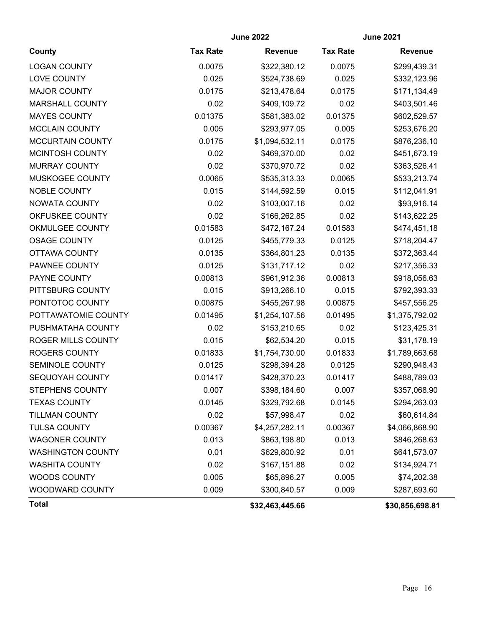|                          | <b>June 2022</b> |                 | <b>June 2021</b> |                 |
|--------------------------|------------------|-----------------|------------------|-----------------|
| County                   | <b>Tax Rate</b>  | <b>Revenue</b>  | <b>Tax Rate</b>  | <b>Revenue</b>  |
| <b>LOGAN COUNTY</b>      | 0.0075           | \$322,380.12    | 0.0075           | \$299,439.31    |
| LOVE COUNTY              | 0.025            | \$524,738.69    | 0.025            | \$332,123.96    |
| <b>MAJOR COUNTY</b>      | 0.0175           | \$213,478.64    | 0.0175           | \$171,134.49    |
| <b>MARSHALL COUNTY</b>   | 0.02             | \$409,109.72    | 0.02             | \$403,501.46    |
| <b>MAYES COUNTY</b>      | 0.01375          | \$581,383.02    | 0.01375          | \$602,529.57    |
| <b>MCCLAIN COUNTY</b>    | 0.005            | \$293,977.05    | 0.005            | \$253,676.20    |
| <b>MCCURTAIN COUNTY</b>  | 0.0175           | \$1,094,532.11  | 0.0175           | \$876,236.10    |
| MCINTOSH COUNTY          | 0.02             | \$469,370.00    | 0.02             | \$451,673.19    |
| <b>MURRAY COUNTY</b>     | 0.02             | \$370,970.72    | 0.02             | \$363,526.41    |
| MUSKOGEE COUNTY          | 0.0065           | \$535,313.33    | 0.0065           | \$533,213.74    |
| NOBLE COUNTY             | 0.015            | \$144,592.59    | 0.015            | \$112,041.91    |
| NOWATA COUNTY            | 0.02             | \$103,007.16    | 0.02             | \$93,916.14     |
| OKFUSKEE COUNTY          | 0.02             | \$166,262.85    | 0.02             | \$143,622.25    |
| <b>OKMULGEE COUNTY</b>   | 0.01583          | \$472,167.24    | 0.01583          | \$474,451.18    |
| <b>OSAGE COUNTY</b>      | 0.0125           | \$455,779.33    | 0.0125           | \$718,204.47    |
| OTTAWA COUNTY            | 0.0135           | \$364,801.23    | 0.0135           | \$372,363.44    |
| PAWNEE COUNTY            | 0.0125           | \$131,717.12    | 0.02             | \$217,356.33    |
| PAYNE COUNTY             | 0.00813          | \$961,912.36    | 0.00813          | \$918,056.63    |
| PITTSBURG COUNTY         | 0.015            | \$913,266.10    | 0.015            | \$792,393.33    |
| PONTOTOC COUNTY          | 0.00875          | \$455,267.98    | 0.00875          | \$457,556.25    |
| POTTAWATOMIE COUNTY      | 0.01495          | \$1,254,107.56  | 0.01495          | \$1,375,792.02  |
| PUSHMATAHA COUNTY        | 0.02             | \$153,210.65    | 0.02             | \$123,425.31    |
| ROGER MILLS COUNTY       | 0.015            | \$62,534.20     | 0.015            | \$31,178.19     |
| <b>ROGERS COUNTY</b>     | 0.01833          | \$1,754,730.00  | 0.01833          | \$1,789,663.68  |
| <b>SEMINOLE COUNTY</b>   | 0.0125           | \$298,394.28    | 0.0125           | \$290,948.43    |
| SEQUOYAH COUNTY          | 0.01417          | \$428,370.23    | 0.01417          | \$488,789.03    |
| STEPHENS COUNTY          | 0.007            | \$398,184.60    | 0.007            | \$357,068.90    |
| <b>TEXAS COUNTY</b>      | 0.0145           | \$329,792.68    | 0.0145           | \$294,263.03    |
| <b>TILLMAN COUNTY</b>    | 0.02             | \$57,998.47     | 0.02             | \$60,614.84     |
| <b>TULSA COUNTY</b>      | 0.00367          | \$4,257,282.11  | 0.00367          | \$4,066,868.90  |
| <b>WAGONER COUNTY</b>    | 0.013            | \$863,198.80    | 0.013            | \$846,268.63    |
| <b>WASHINGTON COUNTY</b> | 0.01             | \$629,800.92    | 0.01             | \$641,573.07    |
| <b>WASHITA COUNTY</b>    | 0.02             | \$167,151.88    | 0.02             | \$134,924.71    |
| WOODS COUNTY             | 0.005            | \$65,896.27     | 0.005            | \$74,202.38     |
| WOODWARD COUNTY          | 0.009            | \$300,840.57    | 0.009            | \$287,693.60    |
| <b>Total</b>             |                  | \$32,463,445.66 |                  | \$30,856,698.81 |